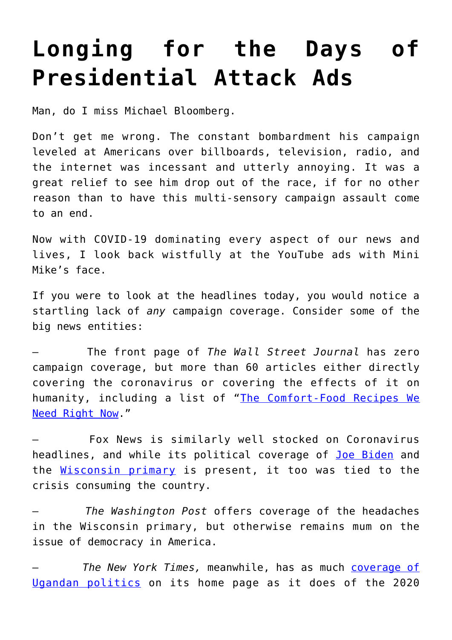## **[Longing for the Days of](https://intellectualtakeout.org/2020/04/longing-for-the-days-of-presidential-attack-ads/) [Presidential Attack Ads](https://intellectualtakeout.org/2020/04/longing-for-the-days-of-presidential-attack-ads/)**

Man, do I miss Michael Bloomberg.

Don't get me wrong. The constant bombardment his campaign leveled at Americans over billboards, television, radio, and the internet was incessant and utterly annoying. It was a great relief to see him drop out of the race, if for no other reason than to have this multi-sensory campaign assault come to an end.

Now with COVID-19 dominating every aspect of our news and lives, I look back wistfully at the YouTube ads with Mini Mike's face.

If you were to look at the headlines today, you would notice a startling lack of *any* campaign coverage. Consider some of the big news entities:

– The front page of *The Wall Street Journal* has zero campaign coverage, but more than 60 articles either directly covering the coronavirus or covering the effects of it on humanity, including a list of "[The Comfort-Food Recipes We](https://www.wsj.com/articles/the-comfort-food-recipes-we-need-right-now-11585909800?mod=article_inline) [Need Right Now](https://www.wsj.com/articles/the-comfort-food-recipes-we-need-right-now-11585909800?mod=article_inline)."

– Fox News is similarly well stocked on Coronavirus headlines, and while its political coverage of [Joe Biden](https://www.foxnews.com/politics/biden-pushes-for-another-stimulus-amid-devastating-jobs-reports) and the [Wisconsin primary](https://www.foxnews.com/politics/wisconsin-to-hold-primary-on-tuesday-amid-coronavirus-crisis) is present, it too was tied to the crisis consuming the country.

– *The Washington Post* offers coverage of the headaches in the Wisconsin primary, but otherwise remains mum on the issue of democracy in America.

– *The New York Times,* meanwhile, has as much [coverage of](https://www.nytimes.com/2020/04/03/world/africa/uganda-museveni-nyanzi.html?action=click&module=News&pgtype=Homepage) [Ugandan politics](https://www.nytimes.com/2020/04/03/world/africa/uganda-museveni-nyanzi.html?action=click&module=News&pgtype=Homepage) on its home page as it does of the 2020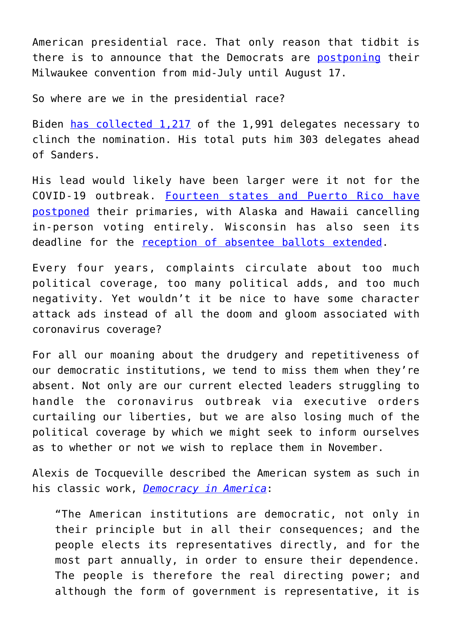American presidential race. That only reason that tidbit is there is to announce that the Democrats are [postponing](https://www.nytimes.com/2020/04/02/us/politics/milwaukee-democratic-convention-delayed.html?action=click&module=Well&pgtype=Homepage§ion=Politics) their Milwaukee convention from mid-July until August 17.

So where are we in the presidential race?

Biden [has collected 1,217](https://www.nytimes.com/interactive/2020/us/elections/delegate-count-primary-results.html) of the 1,991 delegates necessary to clinch the nomination. His total puts him 303 delegates ahead of Sanders.

His lead would likely have been larger were it not for the COVID-19 outbreak. [Fourteen states and Puerto Rico have](https://www.cnn.com/2020/03/16/politics/state-primaries-postponed-coronavirus/index.html) [postponed](https://www.cnn.com/2020/03/16/politics/state-primaries-postponed-coronavirus/index.html) their primaries, with Alaska and Hawaii cancelling in-person voting entirely. Wisconsin has also seen its deadline for the [reception of absentee ballots extended.](https://www.washingtonpost.com/politics/federal-judge-declines-to-postpone-april-7-presidential-primaries-in-wisconsin/2020/04/02/2ff660b4-74dc-11ea-87da-77a8136c1a6d_story.html)

Every four years, complaints circulate about too much political coverage, too many political adds, and too much negativity. Yet wouldn't it be nice to have some character attack ads instead of all the doom and gloom associated with coronavirus coverage?

For all our moaning about the drudgery and repetitiveness of our democratic institutions, we tend to miss them when they're absent. Not only are our current elected leaders struggling to handle the coronavirus outbreak via executive orders curtailing our liberties, but we are also losing much of the political coverage by which we might seek to inform ourselves as to whether or not we wish to replace them in November.

Alexis de Tocqueville described the American system as such in his classic work, *[Democracy in America](https://www.amazon.com/gp/product/0226805360/ref=as_li_qf_asin_il_tl?ie=UTF8&tag=intelltakeo0d-20&creative=9325&linkCode=as2&creativeASIN=0226805360&linkId=11e44a0650d65fd81c10919b7c41867c)*:

"The American institutions are democratic, not only in their principle but in all their consequences; and the people elects its representatives directly, and for the most part annually, in order to ensure their dependence. The people is therefore the real directing power; and although the form of government is representative, it is